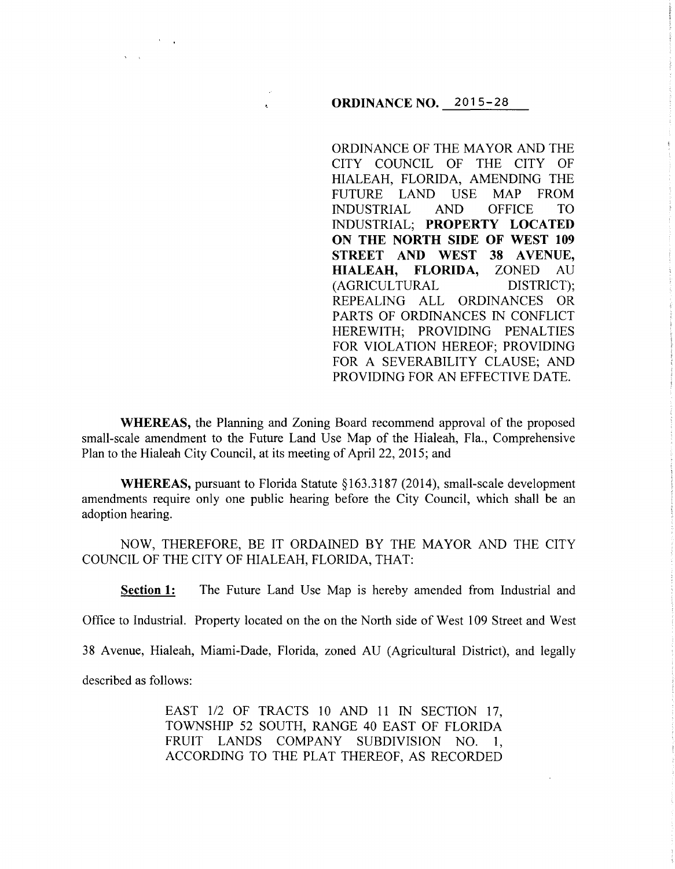## **ORDINANCE NO.** 2015-28

ORDINANCE OF THE MAYOR AND THE CITY COUNCIL OF THE CITY OF HIALEAH, FLORIDA, AMENDING THE FUTURE LAND USE MAP FROM INDUSTRIAL AND OFFICE TO INDUSTRIAL; **PROPERTY LOCATED ON THE NORTH SIDE OF WEST 109 STREET AND WEST 38 AVENUE, HIALEAH, FLORIDA,** ZONED AU (AGRICULTURAL DISTRICT); REPEALING ALL ORDINANCES OR PARTS OF ORDINANCES IN CONFLICT HEREWITH; PROVIDING PENALTIES FOR VIOLATION HEREOF; PROVIDING FOR A SEVERABILITY CLAUSE; AND PROVIDING FOR AN EFFECTIVE DATE.

**WHEREAS,** the Planning and Zoning Board recommend approval of the proposed small-scale amendment to the Future Land Use Map of the Hialeah, Fla., Comprehensive Plan to the Hialeah City Council, at its meeting of April 22, 2015; and

**WHEREAS, pursuant to Florida Statute §163.3187 (2014), small-scale development** amendments require only one public hearing before the City Council, which shall be an adoption hearing.

NOW, THEREFORE, BE IT ORDAINED BY THE MAYOR AND THE CITY COUNCIL OF THE CITY OF HIALEAH, FLORIDA, THAT:

**Section 1:** The Future Land Use Map is hereby amended from Industrial and

Office to Industrial. Property located on the on the North side of West 1 09 Street and West

38 Avenue, Hialeah, Miami-Dade, Florida, zoned AU (Agricultural District), and legally

described as follows:

EAST 1/2 OF TRACTS 10 AND 11 IN SECTION 17, TOWNSHIP 52 SOUTH, RANGE 40 EAST OF FLORIDA FRUIT LANDS COMPANY SUBDIVISION NO. 1, ACCORDING TO THE PLAT THEREOF, AS RECORDED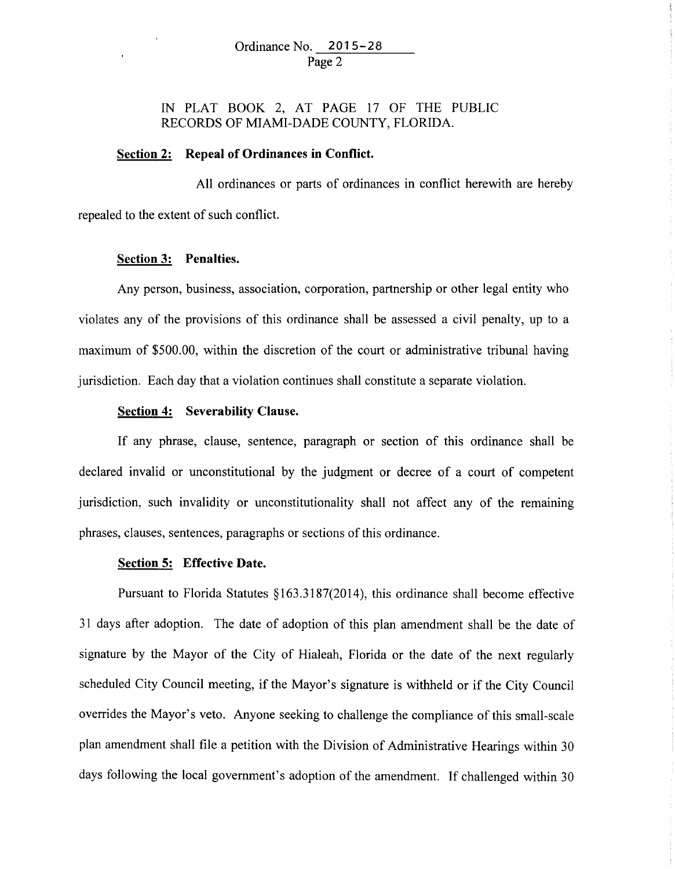IN PLAT BOOK 2, AT PAGE 17 OF THE PUBLIC RECORDS OF MIAMI-DADE COUNTY, FLORIDA.

# **Section 2: Repeal of Ordinances in Conflict.**

All ordinances or parts of ordinances in conflict herewith are hereby repealed to the extent of such conflict.

## **Section 3: Penalties.**

Any person, business, association, corporation, partnership or other legal entity who violates any of the provisions of this ordinance shall be assessed a civil penalty, up to a maximum of \$500.00, within the discretion of the court or administrative tribunal having jurisdiction. Each day that a violation continues shall constitute a separate violation.

## **Section 4: Severability Clause.**

If any phrase, clause, sentence, paragraph or section of this ordinance shall be declared invalid or unconstitutional by the judgment or decree of a court of competent jurisdiction, such invalidity or unconstitutionality shall not affect any of the remaining phrases, clauses, sentences, paragraphs or sections of this ordinance.

#### **Section 5: Effective Date.**

Pursuant to Florida Statutes §163.3187(2014), this ordinance shall become effective 31 days after adoption. The date of adoption of this plan amendment shall be the date of signature by the Mayor of the City of Hialeah, Florida or the date of the next regularly scheduled City Council meeting, if the Mayor's signature is withheld or if the City Council overrides the Mayor's veto. Anyone seeking to challenge the compliance of this small-scale plan amendment shall file a petition with the Division of Administrative Hearings within 30 days following the local government's adoption of the amendment. If challenged within 30